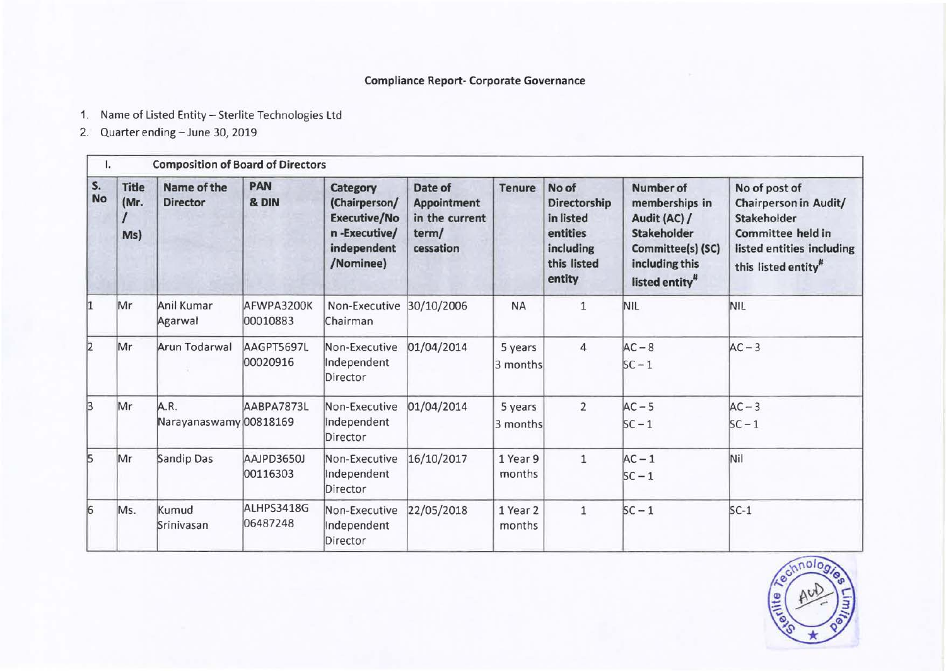## **Compliance Report- Corporate Governance**

- 1. Name of Listed Entity- Sterlite Technologies Ltd
- 2. Quarter ending- June 30, 2019

| ı.              |                             | <b>Composition of Board of Directors</b> |                        |                                                                                              |                                                                       |                     |                                                                                             |                                                                                                                                               |                                                                                                                                                                 |
|-----------------|-----------------------------|------------------------------------------|------------------------|----------------------------------------------------------------------------------------------|-----------------------------------------------------------------------|---------------------|---------------------------------------------------------------------------------------------|-----------------------------------------------------------------------------------------------------------------------------------------------|-----------------------------------------------------------------------------------------------------------------------------------------------------------------|
| S.<br><b>No</b> | <b>Title</b><br>(Mr.<br>Ms) | Name of the<br><b>Director</b>           | <b>PAN</b><br>& DIN    | Category<br>(Chairperson/<br><b>Executive/No</b><br>n-Executive/<br>independent<br>/Nominee) | Date of<br><b>Appointment</b><br>in the current<br>term/<br>cessation | <b>Tenure</b>       | No of<br><b>Directorship</b><br>in listed<br>entities<br>including<br>this listed<br>entity | <b>Number of</b><br>memberships in<br>Audit (AC) /<br><b>Stakeholder</b><br>Committee(s) (SC)<br>including this<br>listed entity <sup>#</sup> | No of post of<br><b>Chairperson in Audit/</b><br><b>Stakeholder</b><br><b>Committee held in</b><br>listed entities including<br>this listed entity <sup>#</sup> |
| l1              | Mr                          | Anil Kumar<br>Agarwal                    | AFWPA3200K<br>00010883 | Non-Executive<br>Chairman                                                                    | 30/10/2006                                                            | <b>NA</b>           | $\mathbf{1}$                                                                                | NIL                                                                                                                                           | NIL                                                                                                                                                             |
| 2               | Mr                          | Arun Todarwal                            | AAGPT5697L<br>00020916 | Non-Executive<br>Independent<br>Director                                                     | 01/04/2014                                                            | 5 years<br>3 months | $\overline{4}$                                                                              | $AC - 8$<br>$SC - 1$                                                                                                                          | $AC - 3$                                                                                                                                                        |
| 3               | Mr                          | A.R.<br>Narayanaswamy 00818169           | AABPA7873L             | Non-Executive<br>Independent<br>Director                                                     | 01/04/2014                                                            | 5 years<br>3 months | $\overline{2}$                                                                              | $AC - 5$<br>$SC - 1$                                                                                                                          | $AC - 3$<br>$SC - 1$                                                                                                                                            |
| 5               | Mr                          | Sandip Das                               | AAJPD3650J<br>00116303 | Non-Executive<br>Independent<br>Director                                                     | 16/10/2017                                                            | 1 Year 9<br>months  | $1\,$                                                                                       | $AC - 1$<br>$SC - 1$                                                                                                                          | Nil                                                                                                                                                             |
| $\overline{6}$  | Ms.                         | Kumud<br>Srinivasan                      | ALHPS3418G<br>06487248 | Non-Executive<br>Independent<br>Director                                                     | 22/05/2018                                                            | 1 Year 2<br>months  | $\mathbf{1}$                                                                                | $SC - 1$                                                                                                                                      | $SC-1$                                                                                                                                                          |

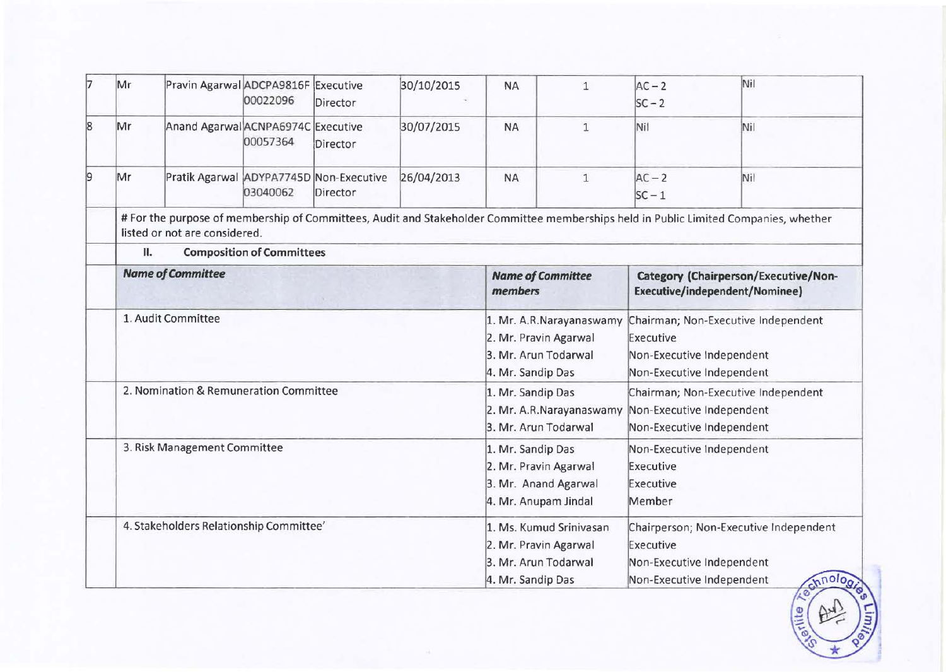| 17 | Mr | Pravin Agarwal ADCPA9816F Executive     | 00022096                         | Director | 30/10/2015 | <b>NA</b>                                                                                  | $\mathbf{1}$             | $AC - 2$<br>$SC - 2$                                                | Nil                                                                                                                                  |
|----|----|-----------------------------------------|----------------------------------|----------|------------|--------------------------------------------------------------------------------------------|--------------------------|---------------------------------------------------------------------|--------------------------------------------------------------------------------------------------------------------------------------|
| 8  | Mr | Anand Agarwal ACNPA6974C Executive      | 00057364                         | Director | 30/07/2015 | <b>NA</b>                                                                                  | $1\,$                    | Nil                                                                 | Nil                                                                                                                                  |
|    | Mr | Pratik Agarwal ADYPA7745D Non-Executive | 03040062                         | Director | 26/04/2013 | <b>NA</b>                                                                                  | $\mathbf{1}$             | $AC - 2$<br>$SC - 1$                                                | Nil                                                                                                                                  |
|    | П. | listed or not are considered.           |                                  |          |            |                                                                                            |                          |                                                                     | # For the purpose of membership of Committees, Audit and Stakeholder Committee memberships held in Public Limited Companies, whether |
|    |    |                                         | <b>Composition of Committees</b> |          |            |                                                                                            |                          |                                                                     |                                                                                                                                      |
|    |    | <b>Name of Committee</b>                |                                  |          |            | <b>Name of Committee</b><br>members                                                        |                          |                                                                     | Category (Chairperson/Executive/Non-<br>Executive/independent/Nominee)                                                               |
|    |    | 1. Audit Committee                      |                                  |          |            | 2. Mr. Pravin Agarwal<br>3. Mr. Arun Todarwal<br>4. Mr. Sandip Das                         | 1. Mr. A.R.Narayanaswamy | Executive<br>Non-Executive Independent<br>Non-Executive Independent | Chairman; Non-Executive Independent                                                                                                  |
|    |    | 2. Nomination & Remuneration Committee  |                                  |          |            | 1. Mr. Sandip Das<br>3. Mr. Arun Todarwal                                                  | 2. Mr. A.R.Narayanaswamy | Non-Executive Independent<br>Non-Executive Independent              | Chairman; Non-Executive Independent                                                                                                  |
|    |    | 3. Risk Management Committee            |                                  |          |            | 1. Mr. Sandip Das<br>2. Mr. Pravin Agarwal<br>3. Mr. Anand Agarwal<br>4. Mr. Anupam Jindal |                          | Non-Executive Independent<br>Executive<br>Executive<br>Member       |                                                                                                                                      |
|    |    | 4. Stakeholders Relationship Committee' |                                  |          |            | 2. Mr. Pravin Agarwal<br>3. Mr. Arun Todarwal<br>4. Mr. Sandip Das                         | 1. Ms. Kumud Srinivasan  | Executive<br>Non-Executive Independent<br>Non-Executive Independent | Chairperson; Non-Executive Independent<br>chnolog                                                                                    |

 $\left(\frac{1}{2} \left(\frac{1}{2} + \frac{1}{2}\right)\right)$ 

 $\sim$   $\degree$ \* -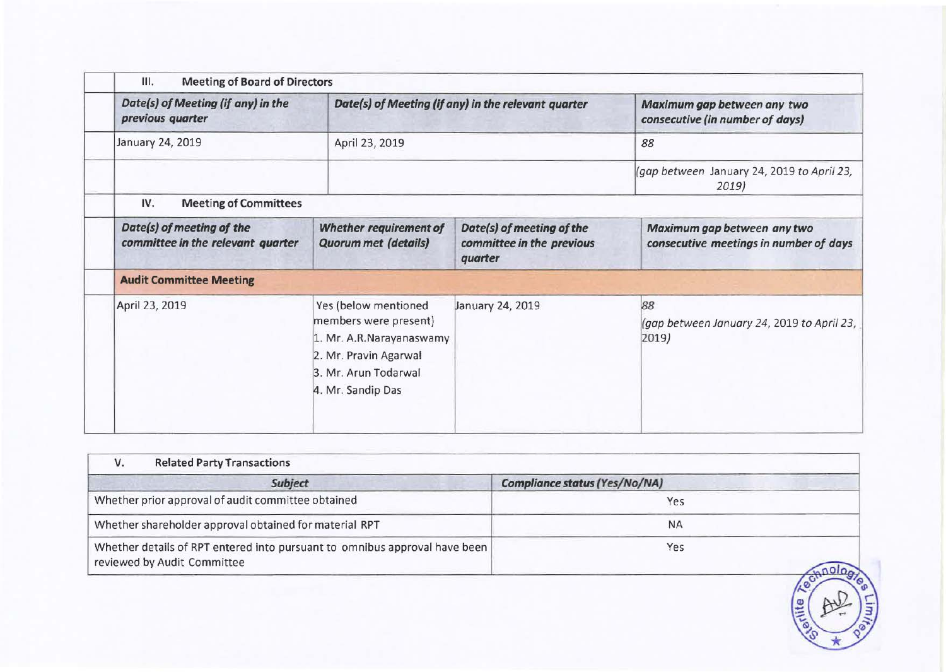| Date(s) of Meeting (if any) in the<br>previous quarter         |                                                                                                                                                 | Date(s) of Meeting (if any) in the relevant quarter               | Maximum gap between any two<br>consecutive (in number of days)        |
|----------------------------------------------------------------|-------------------------------------------------------------------------------------------------------------------------------------------------|-------------------------------------------------------------------|-----------------------------------------------------------------------|
| January 24, 2019                                               | April 23, 2019                                                                                                                                  |                                                                   | 88                                                                    |
|                                                                |                                                                                                                                                 |                                                                   | (gap between January 24, 2019 to April 23,<br>2019                    |
| <b>Meeting of Committees</b><br>IV.                            |                                                                                                                                                 |                                                                   |                                                                       |
| Date(s) of meeting of the<br>committee in the relevant quarter | <b>Whether requirement of</b><br><b>Quorum met (details)</b>                                                                                    | Date(s) of meeting of the<br>committee in the previous<br>quarter | Maximum gap between any two<br>consecutive meetings in number of days |
| <b>Audit Committee Meeting</b>                                 |                                                                                                                                                 |                                                                   |                                                                       |
| April 23, 2019                                                 | Yes (below mentioned<br>members were present)<br>1. Mr. A.R.Narayanaswamy<br>2. Mr. Pravin Agarwal<br>3. Mr. Arun Todarwal<br>4. Mr. Sandip Das | January 24, 2019                                                  | 88<br>(gap between January 24, 2019 to April 23,<br>2019)             |

| Compliance status (Yes/No/NA)<br>Subject<br>Whether prior approval of audit committee obtained<br>Yes<br>Whether shareholder approval obtained for material RPT<br><b>NA</b><br>Whether details of RPT entered into pursuant to omnibus approval have been<br>Yes<br>reviewed by Audit Committee |       |
|--------------------------------------------------------------------------------------------------------------------------------------------------------------------------------------------------------------------------------------------------------------------------------------------------|-------|
|                                                                                                                                                                                                                                                                                                  |       |
|                                                                                                                                                                                                                                                                                                  |       |
|                                                                                                                                                                                                                                                                                                  |       |
|                                                                                                                                                                                                                                                                                                  | etite |
|                                                                                                                                                                                                                                                                                                  |       |

 $\sim$   $\degree$ \*